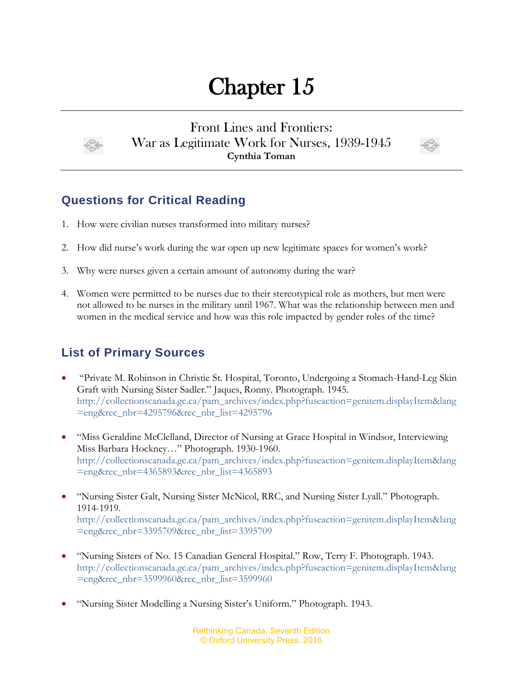## Chapter 15



Front Lines and Frontiers: War as Legitimate Work for Nurses, 1939-1945 **Cynthia Toman**



## **Questions for Critical Reading**

- 1. How were civilian nurses transformed into military nurses?
- 2. How did nurse's work during the war open up new legitimate spaces for women's work?
- 3. Why were nurses given a certain amount of autonomy during the war?
- 4. Women were permitted to be nurses due to their stereotypical role as mothers, but men were not allowed to be nurses in the military until 1967. What was the relationship between men and women in the medical service and how was this role impacted by gender roles of the time?

## **List of Primary Sources**

- "Private M. Robinson in Christie St. Hospital, Toronto, Undergoing a Stomach-Hand-Leg Skin Graft with Nursing Sister Sadler." Jaques, Ronny. Photograph. 1945. [http://collectionscanada.gc.ca/pam\\_archives/index.php?fuseaction=genitem.displayItem&lang](http://collectionscanada.gc.ca/pam_archives/index.php?fuseaction=genitem.displayItem&lang=eng&rec_nbr=4295796&rec_nbr_list=4295796) [=eng&rec\\_nbr=4295796&rec\\_nbr\\_list=4295796](http://collectionscanada.gc.ca/pam_archives/index.php?fuseaction=genitem.displayItem&lang=eng&rec_nbr=4295796&rec_nbr_list=4295796)
- "Miss Geraldine McClelland, Director of Nursing at Grace Hospital in Windsor, Interviewing Miss Barbara Hockney…" Photograph. 1930-1960. [http://collectionscanada.gc.ca/pam\\_archives/index.php?fuseaction=genitem.displayItem&lang](http://collectionscanada.gc.ca/pam_archives/index.php?fuseaction=genitem.displayItem&lang=eng&rec_nbr=4365893&rec_nbr_list=4365893) [=eng&rec\\_nbr=4365893&rec\\_nbr\\_list=4365893](http://collectionscanada.gc.ca/pam_archives/index.php?fuseaction=genitem.displayItem&lang=eng&rec_nbr=4365893&rec_nbr_list=4365893)
- "Nursing Sister Galt, Nursing Sister McNicol, RRC, and Nursing Sister Lyall." Photograph. 1914-1919. [http://collectionscanada.gc.ca/pam\\_archives/index.php?fuseaction=genitem.displayItem&lang](http://collectionscanada.gc.ca/pam_archives/index.php?fuseaction=genitem.displayItem&lang=eng&rec_nbr=3395709&rec_nbr_list=3395709) [=eng&rec\\_nbr=3395709&rec\\_nbr\\_list=3395709](http://collectionscanada.gc.ca/pam_archives/index.php?fuseaction=genitem.displayItem&lang=eng&rec_nbr=3395709&rec_nbr_list=3395709)
- "Nursing Sisters of No. 15 Canadian General Hospital." Row, Terry F. Photograph. 1943. [http://collectionscanada.gc.ca/pam\\_archives/index.php?fuseaction=genitem.displayItem&lang](http://collectionscanada.gc.ca/pam_archives/index.php?fuseaction=genitem.displayItem&lang=eng&rec_nbr=3599960&rec_nbr_list=3599960) [=eng&rec\\_nbr=3599960&rec\\_nbr\\_list=3599960](http://collectionscanada.gc.ca/pam_archives/index.php?fuseaction=genitem.displayItem&lang=eng&rec_nbr=3599960&rec_nbr_list=3599960)
- "Nursing Sister Modelling a Nursing Sister's Uniform." Photograph. 1943.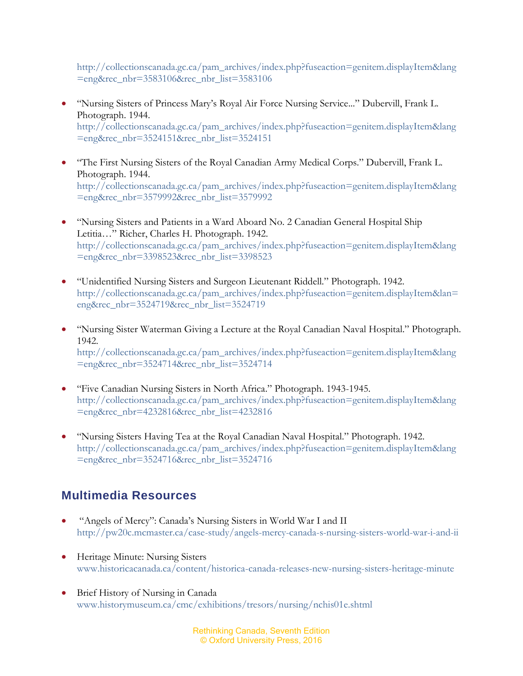[http://collectionscanada.gc.ca/pam\\_archives/index.php?fuseaction=genitem.displayItem&lang](http://collectionscanada.gc.ca/pam_archives/index.php?fuseaction=genitem.displayItem&lang=eng&rec_nbr=3583106&rec_nbr_list=3583106) [=eng&rec\\_nbr=3583106&rec\\_nbr\\_list=3583106](http://collectionscanada.gc.ca/pam_archives/index.php?fuseaction=genitem.displayItem&lang=eng&rec_nbr=3583106&rec_nbr_list=3583106)

- "Nursing Sisters of Princess Mary's Royal Air Force Nursing Service..." Dubervill, Frank L. Photograph. 1944. [http://collectionscanada.gc.ca/pam\\_archives/index.php?fuseaction=genitem.displayItem&lang](http://collectionscanada.gc.ca/pam_archives/index.php?fuseaction=genitem.displayItem&lang=eng&rec_nbr=3524151&rec_nbr_list=3524151) [=eng&rec\\_nbr=3524151&rec\\_nbr\\_list=3524151](http://collectionscanada.gc.ca/pam_archives/index.php?fuseaction=genitem.displayItem&lang=eng&rec_nbr=3524151&rec_nbr_list=3524151)
- "The First Nursing Sisters of the Royal Canadian Army Medical Corps." Dubervill, Frank L. Photograph. 1944. [http://collectionscanada.gc.ca/pam\\_archives/index.php?fuseaction=genitem.displayItem&lang](http://collectionscanada.gc.ca/pam_archives/index.php?fuseaction=genitem.displayItem&lang=eng&rec_nbr=3579992&rec_nbr_list=3579992) [=eng&rec\\_nbr=3579992&rec\\_nbr\\_list=3579992](http://collectionscanada.gc.ca/pam_archives/index.php?fuseaction=genitem.displayItem&lang=eng&rec_nbr=3579992&rec_nbr_list=3579992)
- "Nursing Sisters and Patients in a Ward Aboard No. 2 Canadian General Hospital Ship Letitia…" Richer, Charles H. Photograph. 1942. [http://collectionscanada.gc.ca/pam\\_archives/index.php?fuseaction=genitem.displayItem&lang](http://collectionscanada.gc.ca/pam_archives/index.php?fuseaction=genitem.displayItem&lang=eng&rec_nbr=3398523&rec_nbr_list=3398523) [=eng&rec\\_nbr=3398523&rec\\_nbr\\_list=3398523](http://collectionscanada.gc.ca/pam_archives/index.php?fuseaction=genitem.displayItem&lang=eng&rec_nbr=3398523&rec_nbr_list=3398523)
- "Unidentified Nursing Sisters and Surgeon Lieutenant Riddell." Photograph. 1942. [http://collectionscanada.gc.ca/pam\\_archives/index.php?fuseaction=genitem.displayItem&lan=](http://collectionscanada.gc.ca/pam_archives/index.php?fuseaction=genitem.displayItem&lan=eng&rec_nbr=3524719&rec_nbr_list=3524719) [eng&rec\\_nbr=3524719&rec\\_nbr\\_list=3524719](http://collectionscanada.gc.ca/pam_archives/index.php?fuseaction=genitem.displayItem&lan=eng&rec_nbr=3524719&rec_nbr_list=3524719)
- "Nursing Sister Waterman Giving a Lecture at the Royal Canadian Naval Hospital." Photograph. 1942. [http://collectionscanada.gc.ca/pam\\_archives/index.php?fuseaction=genitem.displayItem&lang](http://collectionscanada.gc.ca/pam_archives/index.php?fuseaction=genitem.displayItem&lang=eng&rec_nbr=3524714&rec_nbr_list=3524714) [=eng&rec\\_nbr=3524714&rec\\_nbr\\_list=3524714](http://collectionscanada.gc.ca/pam_archives/index.php?fuseaction=genitem.displayItem&lang=eng&rec_nbr=3524714&rec_nbr_list=3524714)
- "Five Canadian Nursing Sisters in North Africa." Photograph. 1943-1945. [http://collectionscanada.gc.ca/pam\\_archives/index.php?fuseaction=genitem.displayItem&lang](http://collectionscanada.gc.ca/pam_archives/index.php?fuseaction=genitem.displayItem&lang=eng&rec_nbr=4232816&rec_nbr_list=4232816) [=eng&rec\\_nbr=4232816&rec\\_nbr\\_list=4232816](http://collectionscanada.gc.ca/pam_archives/index.php?fuseaction=genitem.displayItem&lang=eng&rec_nbr=4232816&rec_nbr_list=4232816)
- "Nursing Sisters Having Tea at the Royal Canadian Naval Hospital." Photograph. 1942. [http://collectionscanada.gc.ca/pam\\_archives/index.php?fuseaction=genitem.displayItem&lang](http://collectionscanada.gc.ca/pam_archives/index.php?fuseaction=genitem.displayItem&lang=eng&rec_nbr=3524716&rec_nbr_list=3524716) [=eng&rec\\_nbr=3524716&rec\\_nbr\\_list=3524716](http://collectionscanada.gc.ca/pam_archives/index.php?fuseaction=genitem.displayItem&lang=eng&rec_nbr=3524716&rec_nbr_list=3524716)

## **Multimedia Resources**

- "Angels of Mercy": Canada's Nursing Sisters in World War I and II <http://pw20c.mcmaster.ca/case-study/angels-mercy-canada-s-nursing-sisters-world-war-i-and-ii>
- Heritage Minute: Nursing Sisters [www.historicacanada.ca/content/historica-canada-releases-new-nursing-sisters-heritage-minute](http://www.historicacanada.ca/content/historica-canada-releases-new-nursing-sisters-heritage-minute)
- Brief History of Nursing in Canada [www.historymuseum.ca/cmc/exhibitions/tresors/nursing/nchis01e.shtml](http://www.historymuseum.ca/cmc/exhibitions/tresors/nursing/nchis01e.shtml)

Rethinking Canada, Seventh Edition © Oxford University Press, 2016